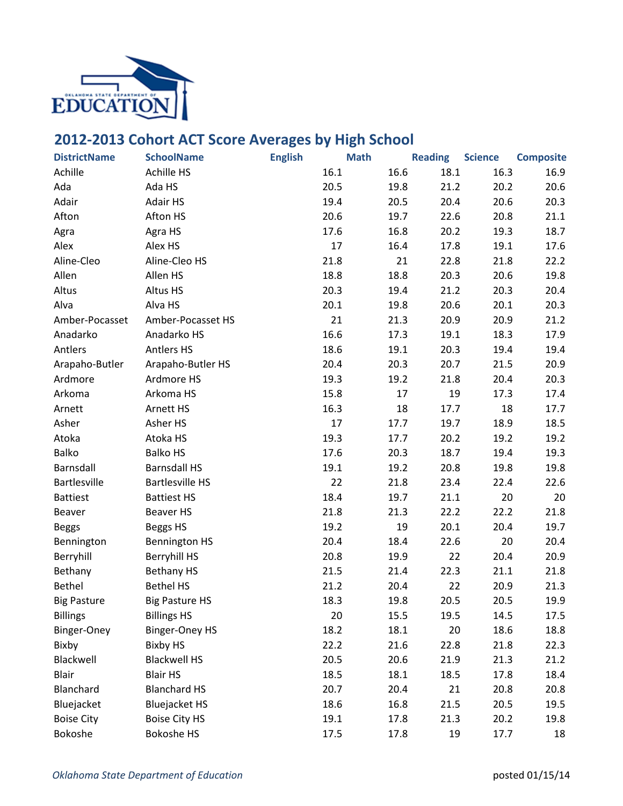

## **2012-2013 Cohort ACT Score Averages by High School**

| <b>DistrictName</b> | <b>SchoolName</b>      | <b>English</b> | <b>Math</b>  | <b>Reading</b> | <b>Science</b> | <b>Composite</b> |
|---------------------|------------------------|----------------|--------------|----------------|----------------|------------------|
| Achille             | <b>Achille HS</b>      |                | 16.1<br>16.6 | 18.1           | 16.3           | 16.9             |
| Ada                 | Ada HS                 |                | 20.5<br>19.8 | 21.2           | 20.2           | 20.6             |
| Adair               | Adair HS               |                | 19.4<br>20.5 | 20.4           | 20.6           | 20.3             |
| Afton               | Afton HS               |                | 20.6<br>19.7 | 22.6           | 20.8           | 21.1             |
| Agra                | Agra HS                |                | 17.6<br>16.8 | 20.2           | 19.3           | 18.7             |
| Alex                | Alex HS                |                | 17<br>16.4   | 17.8           | 19.1           | 17.6             |
| Aline-Cleo          | Aline-Cleo HS          |                | 21.8<br>21   | 22.8           | 21.8           | 22.2             |
| Allen               | Allen HS               |                | 18.8<br>18.8 | 20.3           | 20.6           | 19.8             |
| Altus               | Altus HS               |                | 20.3<br>19.4 | 21.2           | 20.3           | 20.4             |
| Alva                | Alva HS                |                | 20.1<br>19.8 | 20.6           | 20.1           | 20.3             |
| Amber-Pocasset      | Amber-Pocasset HS      |                | 21<br>21.3   | 20.9           | 20.9           | 21.2             |
| Anadarko            | Anadarko HS            |                | 16.6<br>17.3 | 19.1           | 18.3           | 17.9             |
| Antlers             | <b>Antlers HS</b>      |                | 18.6<br>19.1 | 20.3           | 19.4           | 19.4             |
| Arapaho-Butler      | Arapaho-Butler HS      |                | 20.4<br>20.3 | 20.7           | 21.5           | 20.9             |
| Ardmore             | Ardmore HS             |                | 19.3<br>19.2 | 21.8           | 20.4           | 20.3             |
| Arkoma              | Arkoma HS              |                | 15.8<br>17   | 19             | 17.3           | 17.4             |
| Arnett              | <b>Arnett HS</b>       |                | 16.3<br>18   | 17.7           | 18             | 17.7             |
| Asher               | Asher HS               |                | 17<br>17.7   | 19.7           | 18.9           | 18.5             |
| Atoka               | Atoka HS               |                | 19.3<br>17.7 | 20.2           | 19.2           | 19.2             |
| <b>Balko</b>        | <b>Balko HS</b>        |                | 17.6<br>20.3 | 18.7           | 19.4           | 19.3             |
| Barnsdall           | <b>Barnsdall HS</b>    |                | 19.1<br>19.2 | 20.8           | 19.8           | 19.8             |
| Bartlesville        | <b>Bartlesville HS</b> |                | 22<br>21.8   | 23.4           | 22.4           | 22.6             |
| <b>Battiest</b>     | <b>Battiest HS</b>     |                | 18.4<br>19.7 | 21.1           | 20             | 20               |
| Beaver              | Beaver HS              |                | 21.8<br>21.3 | 22.2           | 22.2           | 21.8             |
| <b>Beggs</b>        | Beggs HS               |                | 19.2<br>19   | 20.1           | 20.4           | 19.7             |
| Bennington          | <b>Bennington HS</b>   |                | 20.4<br>18.4 | 22.6           | 20             | 20.4             |
| Berryhill           | <b>Berryhill HS</b>    |                | 20.8<br>19.9 | 22             | 20.4           | 20.9             |
| Bethany             | <b>Bethany HS</b>      |                | 21.5<br>21.4 | 22.3           | 21.1           | 21.8             |
| Bethel              | <b>Bethel HS</b>       |                | 21.2<br>20.4 | 22             | 20.9           | 21.3             |
| <b>Big Pasture</b>  | <b>Big Pasture HS</b>  |                | 18.3<br>19.8 | 20.5           | 20.5           | 19.9             |
| <b>Billings</b>     | <b>Billings HS</b>     |                | 20<br>15.5   | 19.5           | 14.5           | 17.5             |
| Binger-Oney         | <b>Binger-Oney HS</b>  |                | 18.2<br>18.1 | 20             | 18.6           | 18.8             |
| Bixby               | <b>Bixby HS</b>        |                | 22.2<br>21.6 | 22.8           | 21.8           | 22.3             |
| Blackwell           | <b>Blackwell HS</b>    |                | 20.5<br>20.6 | 21.9           | 21.3           | 21.2             |
| <b>Blair</b>        | <b>Blair HS</b>        |                | 18.5<br>18.1 | 18.5           | 17.8           | 18.4             |
| Blanchard           | <b>Blanchard HS</b>    |                | 20.7<br>20.4 | 21             | 20.8           | 20.8             |
| Bluejacket          | <b>Bluejacket HS</b>   |                | 18.6<br>16.8 | 21.5           | 20.5           | 19.5             |
| <b>Boise City</b>   | <b>Boise City HS</b>   |                | 19.1<br>17.8 | 21.3           | 20.2           | 19.8             |
| Bokoshe             | <b>Bokoshe HS</b>      |                | 17.5<br>17.8 | 19             | 17.7           | 18               |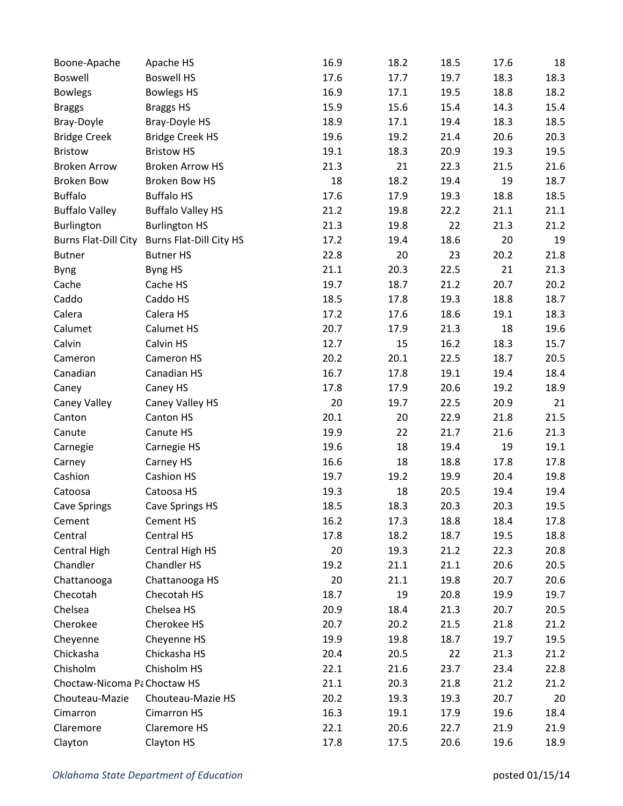| Boone-Apache                 | Apache HS                      | 16.9 | 18.2 | 18.5 | 17.6 | 18   |
|------------------------------|--------------------------------|------|------|------|------|------|
| Boswell                      | <b>Boswell HS</b>              | 17.6 | 17.7 | 19.7 | 18.3 | 18.3 |
| <b>Bowlegs</b>               | <b>Bowlegs HS</b>              | 16.9 | 17.1 | 19.5 | 18.8 | 18.2 |
| <b>Braggs</b>                | <b>Braggs HS</b>               | 15.9 | 15.6 | 15.4 | 14.3 | 15.4 |
| Bray-Doyle                   | Bray-Doyle HS                  | 18.9 | 17.1 | 19.4 | 18.3 | 18.5 |
| <b>Bridge Creek</b>          | <b>Bridge Creek HS</b>         | 19.6 | 19.2 | 21.4 | 20.6 | 20.3 |
| <b>Bristow</b>               | <b>Bristow HS</b>              | 19.1 | 18.3 | 20.9 | 19.3 | 19.5 |
| <b>Broken Arrow</b>          | <b>Broken Arrow HS</b>         | 21.3 | 21   | 22.3 | 21.5 | 21.6 |
| <b>Broken Bow</b>            | Broken Bow HS                  | 18   | 18.2 | 19.4 | 19   | 18.7 |
| <b>Buffalo</b>               | <b>Buffalo HS</b>              | 17.6 | 17.9 | 19.3 | 18.8 | 18.5 |
| <b>Buffalo Valley</b>        | <b>Buffalo Valley HS</b>       | 21.2 | 19.8 | 22.2 | 21.1 | 21.1 |
| Burlington                   | <b>Burlington HS</b>           | 21.3 | 19.8 | 22   | 21.3 | 21.2 |
| Burns Flat-Dill City         | <b>Burns Flat-Dill City HS</b> | 17.2 | 19.4 | 18.6 | 20   | 19   |
| <b>Butner</b>                | <b>Butner HS</b>               | 22.8 | 20   | 23   | 20.2 | 21.8 |
| <b>Byng</b>                  | Byng HS                        | 21.1 | 20.3 | 22.5 | 21   | 21.3 |
| Cache                        | Cache HS                       | 19.7 | 18.7 | 21.2 | 20.7 | 20.2 |
| Caddo                        | Caddo HS                       | 18.5 | 17.8 | 19.3 | 18.8 | 18.7 |
| Calera                       | Calera HS                      | 17.2 | 17.6 | 18.6 | 19.1 | 18.3 |
| Calumet                      | Calumet HS                     | 20.7 | 17.9 | 21.3 | 18   | 19.6 |
| Calvin                       | Calvin HS                      | 12.7 | 15   | 16.2 | 18.3 | 15.7 |
| Cameron                      | Cameron HS                     | 20.2 | 20.1 | 22.5 | 18.7 | 20.5 |
| Canadian                     | Canadian HS                    | 16.7 | 17.8 | 19.1 | 19.4 | 18.4 |
| Caney                        | Caney HS                       | 17.8 | 17.9 | 20.6 | 19.2 | 18.9 |
| Caney Valley                 | Caney Valley HS                | 20   | 19.7 | 22.5 | 20.9 | 21   |
| Canton                       | Canton HS                      | 20.1 | 20   | 22.9 | 21.8 | 21.5 |
| Canute                       | Canute HS                      | 19.9 | 22   | 21.7 | 21.6 | 21.3 |
| Carnegie                     | Carnegie HS                    | 19.6 | 18   | 19.4 | 19   | 19.1 |
| Carney                       | Carney HS                      | 16.6 | 18   | 18.8 | 17.8 | 17.8 |
| Cashion                      | Cashion HS                     | 19.7 | 19.2 | 19.9 | 20.4 | 19.8 |
| Catoosa                      | Catoosa HS                     | 19.3 | 18   | 20.5 | 19.4 | 19.4 |
| <b>Cave Springs</b>          | <b>Cave Springs HS</b>         | 18.5 | 18.3 | 20.3 | 20.3 | 19.5 |
| Cement                       | Cement HS                      | 16.2 | 17.3 | 18.8 | 18.4 | 17.8 |
| Central                      | Central HS                     | 17.8 | 18.2 | 18.7 | 19.5 | 18.8 |
| Central High                 | Central High HS                | 20   | 19.3 | 21.2 | 22.3 | 20.8 |
| Chandler                     | Chandler HS                    | 19.2 | 21.1 | 21.1 | 20.6 | 20.5 |
| Chattanooga                  | Chattanooga HS                 | 20   | 21.1 | 19.8 | 20.7 | 20.6 |
| Checotah                     | Checotah HS                    | 18.7 | 19   | 20.8 | 19.9 | 19.7 |
| Chelsea                      | Chelsea HS                     | 20.9 | 18.4 | 21.3 | 20.7 | 20.5 |
| Cherokee                     | Cherokee HS                    | 20.7 | 20.2 | 21.5 | 21.8 | 21.2 |
| Cheyenne                     | Cheyenne HS                    | 19.9 | 19.8 | 18.7 | 19.7 | 19.5 |
| Chickasha                    | Chickasha HS                   | 20.4 | 20.5 | 22   | 21.3 | 21.2 |
| Chisholm                     | Chisholm HS                    | 22.1 | 21.6 | 23.7 | 23.4 | 22.8 |
| Choctaw-Nicoma Pa Choctaw HS |                                | 21.1 | 20.3 | 21.8 | 21.2 | 21.2 |
| Chouteau-Mazie               | Chouteau-Mazie HS              | 20.2 | 19.3 | 19.3 | 20.7 | 20   |
| Cimarron                     | <b>Cimarron HS</b>             | 16.3 | 19.1 | 17.9 | 19.6 | 18.4 |
| Claremore                    | <b>Claremore HS</b>            | 22.1 | 20.6 | 22.7 | 21.9 | 21.9 |
| Clayton                      | Clayton HS                     | 17.8 | 17.5 | 20.6 | 19.6 | 18.9 |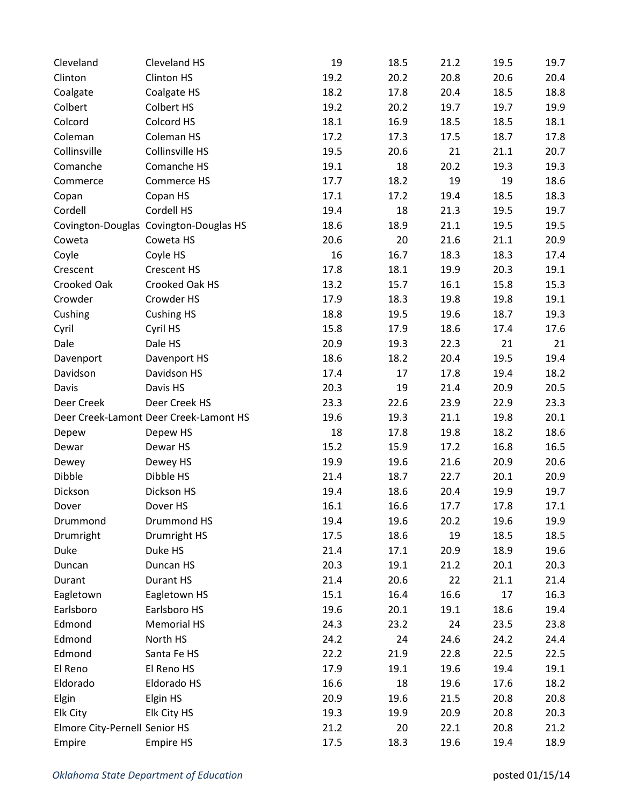| Cleveland                     | Cleveland HS                           | 19   | 18.5 | 21.2 | 19.5 | 19.7 |
|-------------------------------|----------------------------------------|------|------|------|------|------|
| Clinton                       | Clinton HS                             | 19.2 | 20.2 | 20.8 | 20.6 | 20.4 |
| Coalgate                      | Coalgate HS                            | 18.2 | 17.8 | 20.4 | 18.5 | 18.8 |
| Colbert                       | Colbert HS                             | 19.2 | 20.2 | 19.7 | 19.7 | 19.9 |
| Colcord                       | Colcord HS                             | 18.1 | 16.9 | 18.5 | 18.5 | 18.1 |
| Coleman                       | Coleman HS                             | 17.2 | 17.3 | 17.5 | 18.7 | 17.8 |
| Collinsville                  | Collinsville HS                        | 19.5 | 20.6 | 21   | 21.1 | 20.7 |
| Comanche                      | Comanche HS                            | 19.1 | 18   | 20.2 | 19.3 | 19.3 |
| Commerce                      | Commerce HS                            | 17.7 | 18.2 | 19   | 19   | 18.6 |
| Copan                         | Copan HS                               | 17.1 | 17.2 | 19.4 | 18.5 | 18.3 |
| Cordell                       | Cordell HS                             | 19.4 | 18   | 21.3 | 19.5 | 19.7 |
|                               | Covington-Douglas Covington-Douglas HS | 18.6 | 18.9 | 21.1 | 19.5 | 19.5 |
| Coweta                        | Coweta HS                              | 20.6 | 20   | 21.6 | 21.1 | 20.9 |
| Coyle                         | Coyle HS                               | 16   | 16.7 | 18.3 | 18.3 | 17.4 |
| Crescent                      | <b>Crescent HS</b>                     | 17.8 | 18.1 | 19.9 | 20.3 | 19.1 |
| Crooked Oak                   | Crooked Oak HS                         | 13.2 | 15.7 | 16.1 | 15.8 | 15.3 |
| Crowder                       | Crowder HS                             | 17.9 | 18.3 | 19.8 | 19.8 | 19.1 |
| Cushing                       | <b>Cushing HS</b>                      | 18.8 | 19.5 | 19.6 | 18.7 | 19.3 |
| Cyril                         | Cyril HS                               | 15.8 | 17.9 | 18.6 | 17.4 | 17.6 |
| Dale                          | Dale HS                                | 20.9 | 19.3 | 22.3 | 21   | 21   |
| Davenport                     | Davenport HS                           | 18.6 | 18.2 | 20.4 | 19.5 | 19.4 |
| Davidson                      | Davidson HS                            | 17.4 | 17   | 17.8 | 19.4 | 18.2 |
| Davis                         | Davis HS                               | 20.3 | 19   | 21.4 | 20.9 | 20.5 |
| Deer Creek                    | Deer Creek HS                          | 23.3 | 22.6 | 23.9 | 22.9 | 23.3 |
|                               | Deer Creek-Lamont Deer Creek-Lamont HS | 19.6 | 19.3 | 21.1 | 19.8 | 20.1 |
| Depew                         | Depew HS                               | 18   | 17.8 | 19.8 | 18.2 | 18.6 |
| Dewar                         | Dewar HS                               | 15.2 | 15.9 | 17.2 | 16.8 | 16.5 |
| Dewey                         | Dewey HS                               | 19.9 | 19.6 | 21.6 | 20.9 | 20.6 |
| Dibble                        | Dibble HS                              | 21.4 | 18.7 | 22.7 | 20.1 | 20.9 |
| Dickson                       | Dickson HS                             | 19.4 | 18.6 | 20.4 | 19.9 | 19.7 |
| Dover                         | Dover HS                               | 16.1 | 16.6 | 17.7 | 17.8 | 17.1 |
| Drummond                      | Drummond HS                            | 19.4 | 19.6 | 20.2 | 19.6 | 19.9 |
| Drumright                     | Drumright HS                           | 17.5 | 18.6 | 19   | 18.5 | 18.5 |
| Duke                          | Duke HS                                | 21.4 | 17.1 | 20.9 | 18.9 | 19.6 |
| Duncan                        | Duncan HS                              | 20.3 | 19.1 | 21.2 | 20.1 | 20.3 |
| Durant                        | Durant HS                              | 21.4 | 20.6 | 22   | 21.1 | 21.4 |
| Eagletown                     | Eagletown HS                           | 15.1 | 16.4 | 16.6 | 17   | 16.3 |
| Earlsboro                     | Earlsboro HS                           | 19.6 | 20.1 | 19.1 | 18.6 | 19.4 |
| Edmond                        | <b>Memorial HS</b>                     | 24.3 | 23.2 | 24   | 23.5 | 23.8 |
| Edmond                        | North HS                               | 24.2 | 24   | 24.6 | 24.2 | 24.4 |
| Edmond                        | Santa Fe HS                            | 22.2 | 21.9 | 22.8 | 22.5 | 22.5 |
| El Reno                       | El Reno HS                             | 17.9 | 19.1 | 19.6 | 19.4 | 19.1 |
| Eldorado                      | Eldorado HS                            | 16.6 | 18   | 19.6 | 17.6 | 18.2 |
| Elgin                         | Elgin HS                               | 20.9 | 19.6 | 21.5 | 20.8 | 20.8 |
| Elk City                      | Elk City HS                            | 19.3 | 19.9 | 20.9 | 20.8 | 20.3 |
| Elmore City-Pernell Senior HS |                                        | 21.2 | 20   | 22.1 | 20.8 | 21.2 |
| Empire                        | <b>Empire HS</b>                       | 17.5 | 18.3 | 19.6 | 19.4 | 18.9 |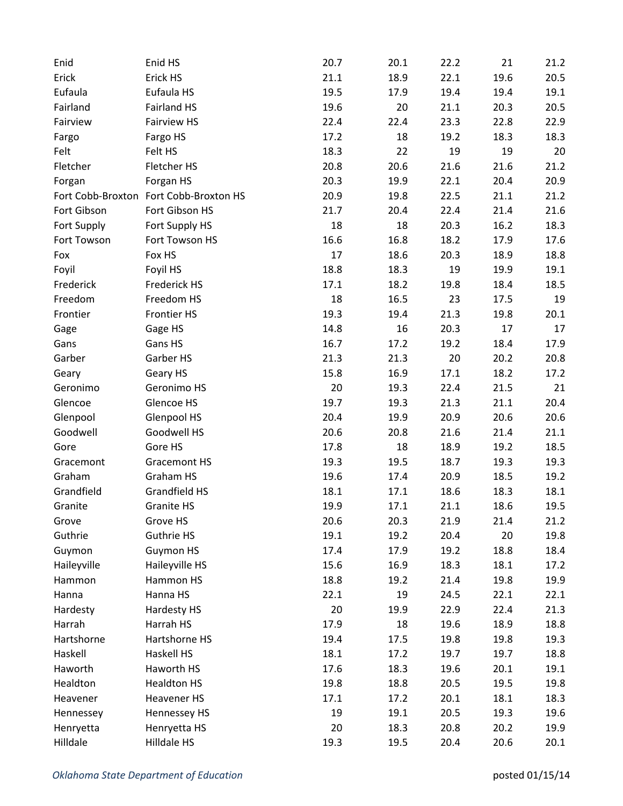| Enid        | Enid HS                                | 20.7 | 20.1 | 22.2 | 21   | 21.2 |
|-------------|----------------------------------------|------|------|------|------|------|
| Erick       | Erick HS                               | 21.1 | 18.9 | 22.1 | 19.6 | 20.5 |
| Eufaula     | Eufaula HS                             | 19.5 | 17.9 | 19.4 | 19.4 | 19.1 |
| Fairland    | <b>Fairland HS</b>                     | 19.6 | 20   | 21.1 | 20.3 | 20.5 |
| Fairview    | <b>Fairview HS</b>                     | 22.4 | 22.4 | 23.3 | 22.8 | 22.9 |
| Fargo       | Fargo HS                               | 17.2 | 18   | 19.2 | 18.3 | 18.3 |
| Felt        | Felt HS                                | 18.3 | 22   | 19   | 19   | 20   |
| Fletcher    | Fletcher HS                            | 20.8 | 20.6 | 21.6 | 21.6 | 21.2 |
| Forgan      | Forgan HS                              | 20.3 | 19.9 | 22.1 | 20.4 | 20.9 |
|             | Fort Cobb-Broxton Fort Cobb-Broxton HS | 20.9 | 19.8 | 22.5 | 21.1 | 21.2 |
| Fort Gibson | Fort Gibson HS                         | 21.7 | 20.4 | 22.4 | 21.4 | 21.6 |
| Fort Supply | Fort Supply HS                         | 18   | 18   | 20.3 | 16.2 | 18.3 |
| Fort Towson | Fort Towson HS                         | 16.6 | 16.8 | 18.2 | 17.9 | 17.6 |
| Fox         | Fox HS                                 | 17   | 18.6 | 20.3 | 18.9 | 18.8 |
| Foyil       | Foyil HS                               | 18.8 | 18.3 | 19   | 19.9 | 19.1 |
| Frederick   | Frederick HS                           | 17.1 | 18.2 | 19.8 | 18.4 | 18.5 |
| Freedom     | Freedom HS                             | 18   | 16.5 | 23   | 17.5 | 19   |
| Frontier    | <b>Frontier HS</b>                     | 19.3 | 19.4 | 21.3 | 19.8 | 20.1 |
| Gage        | Gage HS                                | 14.8 | 16   | 20.3 | 17   | 17   |
| Gans        | Gans HS                                | 16.7 | 17.2 | 19.2 | 18.4 | 17.9 |
| Garber      | Garber HS                              | 21.3 | 21.3 | 20   | 20.2 | 20.8 |
| Geary       | Geary HS                               | 15.8 | 16.9 | 17.1 | 18.2 | 17.2 |
| Geronimo    | Geronimo HS                            | 20   | 19.3 | 22.4 | 21.5 | 21   |
| Glencoe     | Glencoe HS                             | 19.7 | 19.3 | 21.3 | 21.1 | 20.4 |
| Glenpool    | Glenpool HS                            | 20.4 | 19.9 | 20.9 | 20.6 | 20.6 |
| Goodwell    | Goodwell HS                            | 20.6 | 20.8 | 21.6 | 21.4 | 21.1 |
| Gore        | Gore HS                                | 17.8 | 18   | 18.9 | 19.2 | 18.5 |
| Gracemont   | <b>Gracemont HS</b>                    | 19.3 | 19.5 | 18.7 | 19.3 | 19.3 |
| Graham      | Graham HS                              | 19.6 | 17.4 | 20.9 | 18.5 | 19.2 |
| Grandfield  | Grandfield HS                          | 18.1 | 17.1 | 18.6 | 18.3 | 18.1 |
| Granite     | <b>Granite HS</b>                      | 19.9 | 17.1 | 21.1 | 18.6 | 19.5 |
| Grove       | Grove HS                               | 20.6 | 20.3 | 21.9 | 21.4 | 21.2 |
| Guthrie     | Guthrie HS                             | 19.1 | 19.2 | 20.4 | 20   | 19.8 |
| Guymon      | Guymon HS                              | 17.4 | 17.9 | 19.2 | 18.8 | 18.4 |
| Haileyville | Haileyville HS                         | 15.6 | 16.9 | 18.3 | 18.1 | 17.2 |
| Hammon      | Hammon HS                              | 18.8 | 19.2 | 21.4 | 19.8 | 19.9 |
| Hanna       | Hanna HS                               | 22.1 | 19   | 24.5 | 22.1 | 22.1 |
| Hardesty    | Hardesty HS                            | 20   | 19.9 | 22.9 | 22.4 | 21.3 |
| Harrah      | Harrah HS                              | 17.9 | 18   | 19.6 | 18.9 | 18.8 |
| Hartshorne  | Hartshorne HS                          | 19.4 | 17.5 | 19.8 | 19.8 | 19.3 |
| Haskell     | Haskell HS                             | 18.1 | 17.2 | 19.7 | 19.7 | 18.8 |
| Haworth     | Haworth HS                             | 17.6 | 18.3 | 19.6 | 20.1 | 19.1 |
| Healdton    | <b>Healdton HS</b>                     | 19.8 | 18.8 | 20.5 | 19.5 | 19.8 |
| Heavener    | Heavener HS                            | 17.1 | 17.2 | 20.1 | 18.1 | 18.3 |
| Hennessey   | Hennessey HS                           | 19   | 19.1 | 20.5 | 19.3 | 19.6 |
| Henryetta   | Henryetta HS                           | 20   | 18.3 | 20.8 | 20.2 | 19.9 |
| Hilldale    | Hilldale HS                            | 19.3 | 19.5 | 20.4 | 20.6 | 20.1 |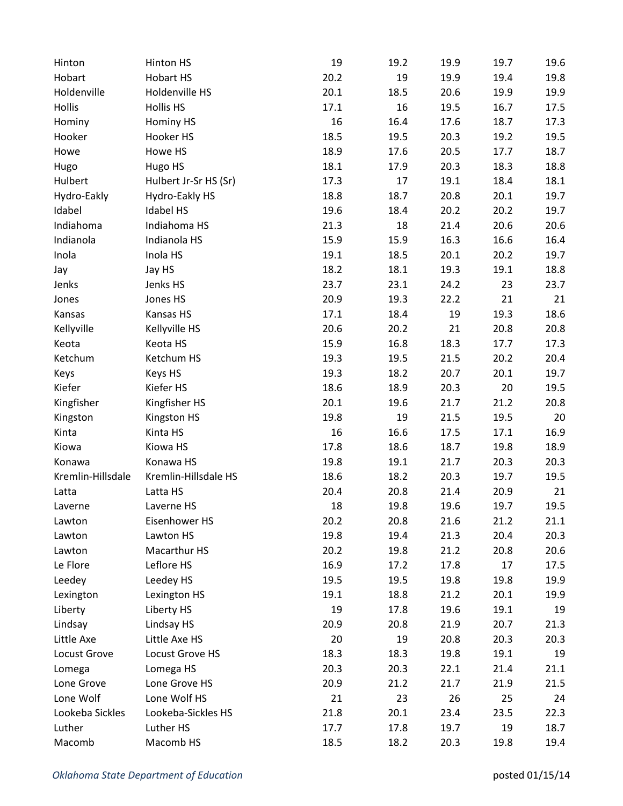| Hinton            | Hinton HS             | 19   | 19.2 | 19.9 | 19.7 | 19.6 |
|-------------------|-----------------------|------|------|------|------|------|
| Hobart            | Hobart HS             | 20.2 | 19   | 19.9 | 19.4 | 19.8 |
| Holdenville       | Holdenville HS        | 20.1 | 18.5 | 20.6 | 19.9 | 19.9 |
| Hollis            | <b>Hollis HS</b>      | 17.1 | 16   | 19.5 | 16.7 | 17.5 |
| Hominy            | Hominy HS             | 16   | 16.4 | 17.6 | 18.7 | 17.3 |
| Hooker            | Hooker HS             | 18.5 | 19.5 | 20.3 | 19.2 | 19.5 |
| Howe              | Howe HS               | 18.9 | 17.6 | 20.5 | 17.7 | 18.7 |
| Hugo              | Hugo HS               | 18.1 | 17.9 | 20.3 | 18.3 | 18.8 |
| Hulbert           | Hulbert Jr-Sr HS (Sr) | 17.3 | 17   | 19.1 | 18.4 | 18.1 |
| Hydro-Eakly       | Hydro-Eakly HS        | 18.8 | 18.7 | 20.8 | 20.1 | 19.7 |
| Idabel            | <b>Idabel HS</b>      | 19.6 | 18.4 | 20.2 | 20.2 | 19.7 |
| Indiahoma         | Indiahoma HS          | 21.3 | 18   | 21.4 | 20.6 | 20.6 |
| Indianola         | Indianola HS          | 15.9 | 15.9 | 16.3 | 16.6 | 16.4 |
| Inola             | Inola HS              | 19.1 | 18.5 | 20.1 | 20.2 | 19.7 |
| Jay               | Jay HS                | 18.2 | 18.1 | 19.3 | 19.1 | 18.8 |
| Jenks             | Jenks HS              | 23.7 | 23.1 | 24.2 | 23   | 23.7 |
| Jones             | Jones HS              | 20.9 | 19.3 | 22.2 | 21   | 21   |
| Kansas            | Kansas HS             | 17.1 | 18.4 | 19   | 19.3 | 18.6 |
| Kellyville        | Kellyville HS         | 20.6 | 20.2 | 21   | 20.8 | 20.8 |
| Keota             | Keota HS              | 15.9 | 16.8 | 18.3 | 17.7 | 17.3 |
| Ketchum           | Ketchum HS            | 19.3 | 19.5 | 21.5 | 20.2 | 20.4 |
| Keys              | Keys HS               | 19.3 | 18.2 | 20.7 | 20.1 | 19.7 |
| Kiefer            | Kiefer HS             | 18.6 | 18.9 | 20.3 | 20   | 19.5 |
| Kingfisher        | Kingfisher HS         | 20.1 | 19.6 | 21.7 | 21.2 | 20.8 |
| Kingston          | Kingston HS           | 19.8 | 19   | 21.5 | 19.5 | 20   |
| Kinta             | Kinta HS              | 16   | 16.6 | 17.5 | 17.1 | 16.9 |
| Kiowa             | Kiowa HS              | 17.8 | 18.6 | 18.7 | 19.8 | 18.9 |
| Konawa            | Konawa HS             | 19.8 | 19.1 | 21.7 | 20.3 | 20.3 |
| Kremlin-Hillsdale | Kremlin-Hillsdale HS  | 18.6 | 18.2 | 20.3 | 19.7 | 19.5 |
| Latta             | Latta HS              | 20.4 | 20.8 | 21.4 | 20.9 | 21   |
| Laverne           | Laverne HS            | 18   | 19.8 | 19.6 | 19.7 | 19.5 |
| Lawton            | Eisenhower HS         | 20.2 | 20.8 | 21.6 | 21.2 | 21.1 |
| Lawton            | Lawton HS             | 19.8 | 19.4 | 21.3 | 20.4 | 20.3 |
| Lawton            | Macarthur HS          | 20.2 | 19.8 | 21.2 | 20.8 | 20.6 |
| Le Flore          | Leflore HS            | 16.9 | 17.2 | 17.8 | 17   | 17.5 |
| Leedey            | Leedey HS             | 19.5 | 19.5 | 19.8 | 19.8 | 19.9 |
| Lexington         | Lexington HS          | 19.1 | 18.8 | 21.2 | 20.1 | 19.9 |
| Liberty           | Liberty HS            | 19   | 17.8 | 19.6 | 19.1 | 19   |
| Lindsay           | Lindsay HS            | 20.9 | 20.8 | 21.9 | 20.7 | 21.3 |
| Little Axe        | Little Axe HS         | 20   | 19   | 20.8 | 20.3 | 20.3 |
| Locust Grove      | Locust Grove HS       | 18.3 | 18.3 | 19.8 | 19.1 | 19   |
| Lomega            | Lomega HS             | 20.3 | 20.3 | 22.1 | 21.4 | 21.1 |
| Lone Grove        | Lone Grove HS         | 20.9 | 21.2 | 21.7 | 21.9 | 21.5 |
| Lone Wolf         | Lone Wolf HS          | 21   | 23   | 26   | 25   | 24   |
| Lookeba Sickles   | Lookeba-Sickles HS    | 21.8 | 20.1 | 23.4 | 23.5 | 22.3 |
| Luther            | Luther HS             | 17.7 | 17.8 | 19.7 | 19   | 18.7 |
| Macomb            | Macomb HS             | 18.5 | 18.2 | 20.3 | 19.8 | 19.4 |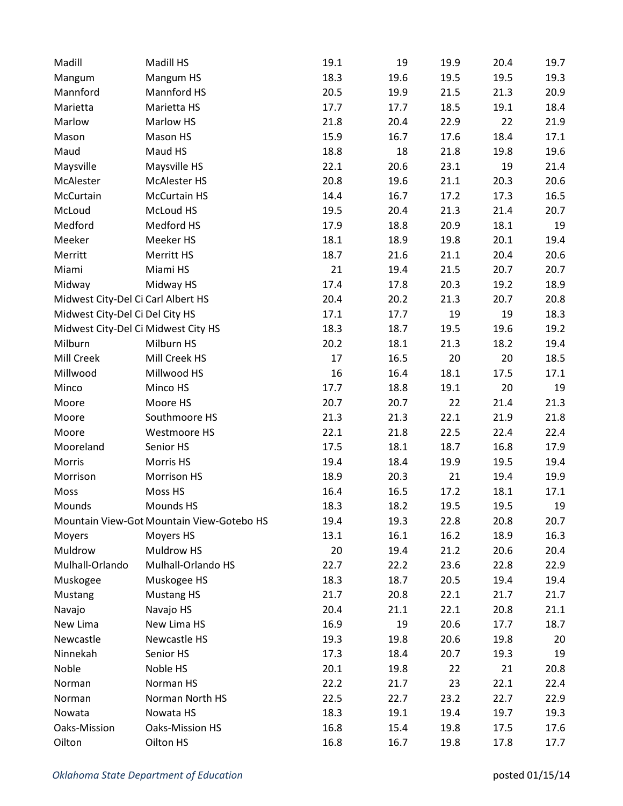| Madill                              | Madill HS                                 | 19.1 | 19   | 19.9 | 20.4 | 19.7 |
|-------------------------------------|-------------------------------------------|------|------|------|------|------|
| Mangum                              | Mangum HS                                 | 18.3 | 19.6 | 19.5 | 19.5 | 19.3 |
| Mannford                            | Mannford HS                               | 20.5 | 19.9 | 21.5 | 21.3 | 20.9 |
| Marietta                            | Marietta HS                               | 17.7 | 17.7 | 18.5 | 19.1 | 18.4 |
| Marlow                              | Marlow HS                                 | 21.8 | 20.4 | 22.9 | 22   | 21.9 |
| Mason                               | Mason HS                                  | 15.9 | 16.7 | 17.6 | 18.4 | 17.1 |
| Maud                                | Maud HS                                   | 18.8 | 18   | 21.8 | 19.8 | 19.6 |
| Maysville                           | Maysville HS                              | 22.1 | 20.6 | 23.1 | 19   | 21.4 |
| McAlester                           | McAlester HS                              | 20.8 | 19.6 | 21.1 | 20.3 | 20.6 |
| McCurtain                           | <b>McCurtain HS</b>                       | 14.4 | 16.7 | 17.2 | 17.3 | 16.5 |
| McLoud                              | McLoud HS                                 | 19.5 | 20.4 | 21.3 | 21.4 | 20.7 |
| Medford                             | Medford HS                                | 17.9 | 18.8 | 20.9 | 18.1 | 19   |
| Meeker                              | Meeker HS                                 | 18.1 | 18.9 | 19.8 | 20.1 | 19.4 |
| Merritt                             | Merritt HS                                | 18.7 | 21.6 | 21.1 | 20.4 | 20.6 |
| Miami                               | Miami HS                                  | 21   | 19.4 | 21.5 | 20.7 | 20.7 |
| Midway                              | Midway HS                                 | 17.4 | 17.8 | 20.3 | 19.2 | 18.9 |
| Midwest City-Del Ci Carl Albert HS  |                                           | 20.4 | 20.2 | 21.3 | 20.7 | 20.8 |
| Midwest City-Del Ci Del City HS     |                                           | 17.1 | 17.7 | 19   | 19   | 18.3 |
| Midwest City-Del Ci Midwest City HS |                                           | 18.3 | 18.7 | 19.5 | 19.6 | 19.2 |
| Milburn                             | Milburn HS                                | 20.2 | 18.1 | 21.3 | 18.2 | 19.4 |
| Mill Creek                          | Mill Creek HS                             | 17   | 16.5 | 20   | 20   | 18.5 |
| Millwood                            | Millwood HS                               | 16   | 16.4 | 18.1 | 17.5 | 17.1 |
| Minco                               | Minco HS                                  | 17.7 | 18.8 | 19.1 | 20   | 19   |
| Moore                               | Moore HS                                  | 20.7 | 20.7 | 22   | 21.4 | 21.3 |
| Moore                               | Southmoore HS                             | 21.3 | 21.3 | 22.1 | 21.9 | 21.8 |
| Moore                               | Westmoore HS                              | 22.1 | 21.8 | 22.5 | 22.4 | 22.4 |
| Mooreland                           | Senior HS                                 | 17.5 | 18.1 | 18.7 | 16.8 | 17.9 |
| Morris                              | Morris HS                                 | 19.4 | 18.4 | 19.9 | 19.5 | 19.4 |
| Morrison                            | Morrison HS                               | 18.9 | 20.3 | 21   | 19.4 | 19.9 |
| Moss                                | Moss HS                                   | 16.4 | 16.5 | 17.2 | 18.1 | 17.1 |
| Mounds                              | Mounds HS                                 | 18.3 | 18.2 | 19.5 | 19.5 | 19   |
|                                     | Mountain View-Got Mountain View-Gotebo HS | 19.4 | 19.3 | 22.8 | 20.8 | 20.7 |
| Moyers                              | Moyers HS                                 | 13.1 | 16.1 | 16.2 | 18.9 | 16.3 |
| Muldrow                             | Muldrow HS                                | 20   | 19.4 | 21.2 | 20.6 | 20.4 |
| Mulhall-Orlando                     | Mulhall-Orlando HS                        | 22.7 | 22.2 | 23.6 | 22.8 | 22.9 |
| Muskogee                            | Muskogee HS                               | 18.3 | 18.7 | 20.5 | 19.4 | 19.4 |
| Mustang                             | <b>Mustang HS</b>                         | 21.7 | 20.8 | 22.1 | 21.7 | 21.7 |
| Navajo                              | Navajo HS                                 | 20.4 | 21.1 | 22.1 | 20.8 | 21.1 |
| New Lima                            | New Lima HS                               | 16.9 | 19   | 20.6 | 17.7 | 18.7 |
| Newcastle                           | Newcastle HS                              | 19.3 | 19.8 | 20.6 | 19.8 | 20   |
| Ninnekah                            | Senior HS                                 | 17.3 | 18.4 | 20.7 | 19.3 | 19   |
| Noble                               | Noble HS                                  | 20.1 | 19.8 | 22   | 21   | 20.8 |
| Norman                              | Norman HS                                 | 22.2 | 21.7 | 23   | 22.1 | 22.4 |
| Norman                              | Norman North HS                           | 22.5 | 22.7 | 23.2 | 22.7 | 22.9 |
| Nowata                              | Nowata HS                                 | 18.3 | 19.1 | 19.4 | 19.7 | 19.3 |
| Oaks-Mission                        | Oaks-Mission HS                           | 16.8 | 15.4 | 19.8 | 17.5 | 17.6 |
| Oilton                              | Oilton HS                                 | 16.8 | 16.7 | 19.8 | 17.8 | 17.7 |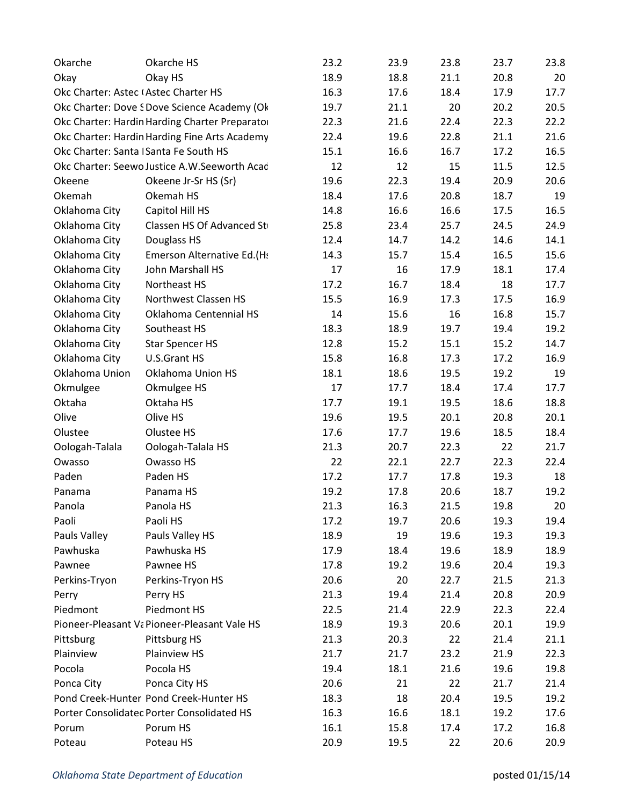| Okarche                               | Okarche HS                                     | 23.2 | 23.9 | 23.8 | 23.7 | 23.8 |
|---------------------------------------|------------------------------------------------|------|------|------|------|------|
| Okay                                  | Okay HS                                        | 18.9 | 18.8 | 21.1 | 20.8 | 20   |
| Okc Charter: Astec (Astec Charter HS  |                                                | 16.3 | 17.6 | 18.4 | 17.9 | 17.7 |
|                                       | Okc Charter: Dove SDove Science Academy (Ok    | 19.7 | 21.1 | 20   | 20.2 | 20.5 |
|                                       | Okc Charter: Hardin Harding Charter Preparator | 22.3 | 21.6 | 22.4 | 22.3 | 22.2 |
|                                       | Okc Charter: Hardin Harding Fine Arts Academy  | 22.4 | 19.6 | 22.8 | 21.1 | 21.6 |
| Okc Charter: Santa ISanta Fe South HS |                                                | 15.1 | 16.6 | 16.7 | 17.2 | 16.5 |
|                                       | Okc Charter: Seewo Justice A.W.Seeworth Acac   | 12   | 12   | 15   | 11.5 | 12.5 |
| Okeene                                | Okeene Jr-Sr HS (Sr)                           | 19.6 | 22.3 | 19.4 | 20.9 | 20.6 |
| Okemah                                | Okemah HS                                      | 18.4 | 17.6 | 20.8 | 18.7 | 19   |
| Oklahoma City                         | Capitol Hill HS                                | 14.8 | 16.6 | 16.6 | 17.5 | 16.5 |
| Oklahoma City                         | Classen HS Of Advanced St                      | 25.8 | 23.4 | 25.7 | 24.5 | 24.9 |
| Oklahoma City                         | Douglass HS                                    | 12.4 | 14.7 | 14.2 | 14.6 | 14.1 |
| Oklahoma City                         | Emerson Alternative Ed.(Hs                     | 14.3 | 15.7 | 15.4 | 16.5 | 15.6 |
| Oklahoma City                         | John Marshall HS                               | 17   | 16   | 17.9 | 18.1 | 17.4 |
| Oklahoma City                         | Northeast HS                                   | 17.2 | 16.7 | 18.4 | 18   | 17.7 |
| Oklahoma City                         | Northwest Classen HS                           | 15.5 | 16.9 | 17.3 | 17.5 | 16.9 |
| Oklahoma City                         | Oklahoma Centennial HS                         | 14   | 15.6 | 16   | 16.8 | 15.7 |
| Oklahoma City                         | Southeast HS                                   | 18.3 | 18.9 | 19.7 | 19.4 | 19.2 |
| Oklahoma City                         | <b>Star Spencer HS</b>                         | 12.8 | 15.2 | 15.1 | 15.2 | 14.7 |
| Oklahoma City                         | U.S.Grant HS                                   | 15.8 | 16.8 | 17.3 | 17.2 | 16.9 |
| Oklahoma Union                        | Oklahoma Union HS                              | 18.1 | 18.6 | 19.5 | 19.2 | 19   |
| Okmulgee                              | Okmulgee HS                                    | 17   | 17.7 | 18.4 | 17.4 | 17.7 |
| Oktaha                                | Oktaha HS                                      | 17.7 | 19.1 | 19.5 | 18.6 | 18.8 |
| Olive                                 | Olive HS                                       | 19.6 | 19.5 | 20.1 | 20.8 | 20.1 |
| Olustee                               | Olustee HS                                     | 17.6 | 17.7 | 19.6 | 18.5 | 18.4 |
| Oologah-Talala                        | Oologah-Talala HS                              | 21.3 | 20.7 | 22.3 | 22   | 21.7 |
| Owasso                                | Owasso HS                                      | 22   | 22.1 | 22.7 | 22.3 | 22.4 |
| Paden                                 | Paden HS                                       | 17.2 | 17.7 | 17.8 | 19.3 | 18   |
| Panama                                | Panama HS                                      | 19.2 | 17.8 | 20.6 | 18.7 | 19.2 |
| Panola                                | Panola HS                                      | 21.3 | 16.3 | 21.5 | 19.8 | 20   |
| Paoli                                 | Paoli HS                                       | 17.2 | 19.7 | 20.6 | 19.3 | 19.4 |
| Pauls Valley                          | Pauls Valley HS                                | 18.9 | 19   | 19.6 | 19.3 | 19.3 |
| Pawhuska                              | Pawhuska HS                                    | 17.9 | 18.4 | 19.6 | 18.9 | 18.9 |
| Pawnee                                | Pawnee HS                                      | 17.8 | 19.2 | 19.6 | 20.4 | 19.3 |
| Perkins-Tryon                         | Perkins-Tryon HS                               | 20.6 | 20   | 22.7 | 21.5 | 21.3 |
| Perry                                 | Perry HS                                       | 21.3 | 19.4 | 21.4 | 20.8 | 20.9 |
| Piedmont                              | Piedmont HS                                    | 22.5 | 21.4 | 22.9 | 22.3 | 22.4 |
|                                       | Pioneer-Pleasant Va Pioneer-Pleasant Vale HS   | 18.9 | 19.3 | 20.6 | 20.1 | 19.9 |
| Pittsburg                             | Pittsburg HS                                   | 21.3 | 20.3 | 22   | 21.4 | 21.1 |
| Plainview                             | Plainview HS                                   | 21.7 | 21.7 | 23.2 | 21.9 | 22.3 |
| Pocola                                | Pocola HS                                      | 19.4 | 18.1 | 21.6 | 19.6 | 19.8 |
| Ponca City                            | Ponca City HS                                  | 20.6 | 21   | 22   | 21.7 | 21.4 |
|                                       | Pond Creek-Hunter Pond Creek-Hunter HS         | 18.3 | 18   | 20.4 | 19.5 | 19.2 |
|                                       | Porter Consolidated Porter Consolidated HS     | 16.3 | 16.6 | 18.1 | 19.2 | 17.6 |
| Porum                                 | Porum HS                                       | 16.1 | 15.8 | 17.4 | 17.2 | 16.8 |
| Poteau                                | Poteau HS                                      | 20.9 | 19.5 | 22   | 20.6 | 20.9 |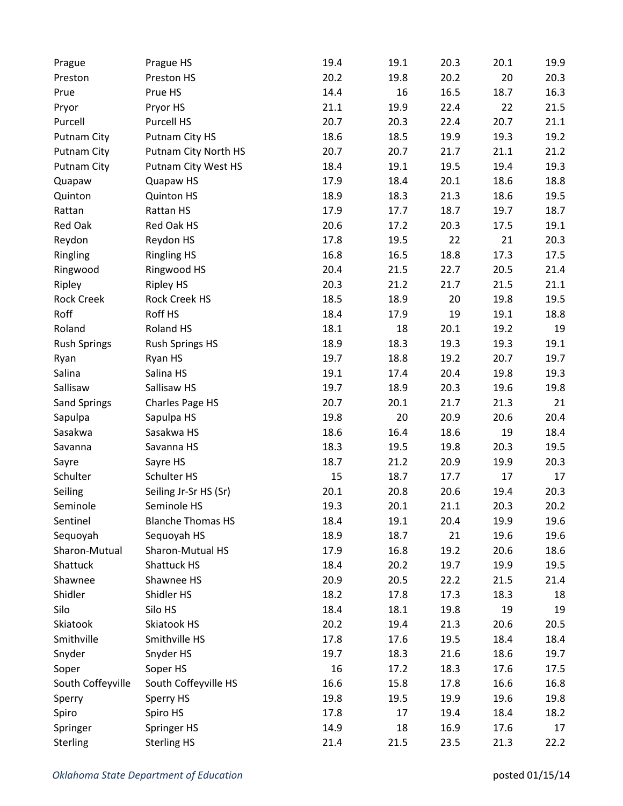| Prague              | Prague HS                | 19.4 | 19.1 | 20.3 | 20.1 | 19.9 |
|---------------------|--------------------------|------|------|------|------|------|
| Preston             | Preston HS               | 20.2 | 19.8 | 20.2 | 20   | 20.3 |
| Prue                | Prue HS                  | 14.4 | 16   | 16.5 | 18.7 | 16.3 |
| Pryor               | Pryor HS                 | 21.1 | 19.9 | 22.4 | 22   | 21.5 |
| Purcell             | Purcell HS               | 20.7 | 20.3 | 22.4 | 20.7 | 21.1 |
| <b>Putnam City</b>  | Putnam City HS           | 18.6 | 18.5 | 19.9 | 19.3 | 19.2 |
| Putnam City         | Putnam City North HS     | 20.7 | 20.7 | 21.7 | 21.1 | 21.2 |
| Putnam City         | Putnam City West HS      | 18.4 | 19.1 | 19.5 | 19.4 | 19.3 |
| Quapaw              | Quapaw HS                | 17.9 | 18.4 | 20.1 | 18.6 | 18.8 |
| Quinton             | <b>Quinton HS</b>        | 18.9 | 18.3 | 21.3 | 18.6 | 19.5 |
| Rattan              | Rattan HS                | 17.9 | 17.7 | 18.7 | 19.7 | 18.7 |
| Red Oak             | Red Oak HS               | 20.6 | 17.2 | 20.3 | 17.5 | 19.1 |
| Reydon              | Reydon HS                | 17.8 | 19.5 | 22   | 21   | 20.3 |
| Ringling            | <b>Ringling HS</b>       | 16.8 | 16.5 | 18.8 | 17.3 | 17.5 |
| Ringwood            | Ringwood HS              | 20.4 | 21.5 | 22.7 | 20.5 | 21.4 |
| Ripley              | <b>Ripley HS</b>         | 20.3 | 21.2 | 21.7 | 21.5 | 21.1 |
| <b>Rock Creek</b>   | <b>Rock Creek HS</b>     | 18.5 | 18.9 | 20   | 19.8 | 19.5 |
| Roff                | Roff HS                  | 18.4 | 17.9 | 19   | 19.1 | 18.8 |
| Roland              | Roland HS                | 18.1 | 18   | 20.1 | 19.2 | 19   |
| <b>Rush Springs</b> | <b>Rush Springs HS</b>   | 18.9 | 18.3 | 19.3 | 19.3 | 19.1 |
| Ryan                | Ryan HS                  | 19.7 | 18.8 | 19.2 | 20.7 | 19.7 |
| Salina              | Salina HS                | 19.1 | 17.4 | 20.4 | 19.8 | 19.3 |
| Sallisaw            | Sallisaw HS              | 19.7 | 18.9 | 20.3 | 19.6 | 19.8 |
| <b>Sand Springs</b> | Charles Page HS          | 20.7 | 20.1 | 21.7 | 21.3 | 21   |
| Sapulpa             | Sapulpa HS               | 19.8 | 20   | 20.9 | 20.6 | 20.4 |
| Sasakwa             | Sasakwa HS               | 18.6 | 16.4 | 18.6 | 19   | 18.4 |
| Savanna             | Savanna HS               | 18.3 | 19.5 | 19.8 | 20.3 | 19.5 |
| Sayre               | Sayre HS                 | 18.7 | 21.2 | 20.9 | 19.9 | 20.3 |
| Schulter            | Schulter HS              | 15   | 18.7 | 17.7 | 17   | 17   |
| Seiling             | Seiling Jr-Sr HS (Sr)    | 20.1 | 20.8 | 20.6 | 19.4 | 20.3 |
| Seminole            | Seminole HS              | 19.3 | 20.1 | 21.1 | 20.3 | 20.2 |
| Sentinel            | <b>Blanche Thomas HS</b> | 18.4 | 19.1 | 20.4 | 19.9 | 19.6 |
| Sequoyah            | Sequoyah HS              | 18.9 | 18.7 | 21   | 19.6 | 19.6 |
| Sharon-Mutual       | Sharon-Mutual HS         | 17.9 | 16.8 | 19.2 | 20.6 | 18.6 |
| Shattuck            | Shattuck HS              | 18.4 | 20.2 | 19.7 | 19.9 | 19.5 |
| Shawnee             | Shawnee HS               | 20.9 | 20.5 | 22.2 | 21.5 | 21.4 |
| Shidler             | Shidler HS               | 18.2 | 17.8 | 17.3 | 18.3 | 18   |
| Silo                | Silo HS                  | 18.4 | 18.1 | 19.8 | 19   | 19   |
| Skiatook            | Skiatook HS              | 20.2 | 19.4 | 21.3 | 20.6 | 20.5 |
| Smithville          | Smithville HS            | 17.8 | 17.6 | 19.5 | 18.4 | 18.4 |
| Snyder              | Snyder HS                | 19.7 | 18.3 | 21.6 | 18.6 | 19.7 |
| Soper               | Soper HS                 | 16   | 17.2 | 18.3 | 17.6 | 17.5 |
| South Coffeyville   | South Coffeyville HS     | 16.6 | 15.8 | 17.8 | 16.6 | 16.8 |
| Sperry              | Sperry HS                | 19.8 | 19.5 | 19.9 | 19.6 | 19.8 |
| Spiro               | Spiro HS                 | 17.8 | 17   | 19.4 | 18.4 | 18.2 |
| Springer            | Springer HS              | 14.9 | 18   | 16.9 | 17.6 | 17   |
| Sterling            | <b>Sterling HS</b>       | 21.4 | 21.5 | 23.5 | 21.3 | 22.2 |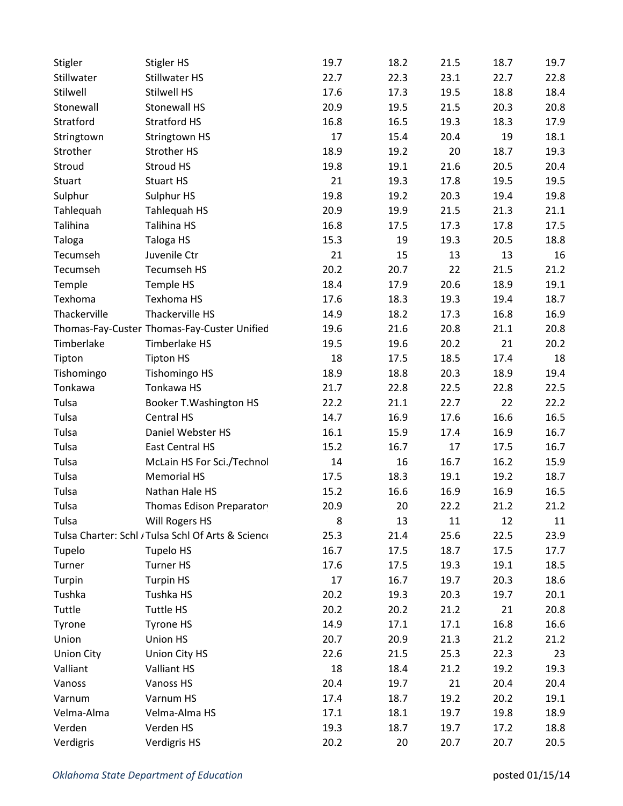| Stigler           | Stigler HS                                         | 19.7 | 18.2 | 21.5 | 18.7 | 19.7 |
|-------------------|----------------------------------------------------|------|------|------|------|------|
| Stillwater        | Stillwater HS                                      | 22.7 | 22.3 | 23.1 | 22.7 | 22.8 |
| Stilwell          | <b>Stilwell HS</b>                                 | 17.6 | 17.3 | 19.5 | 18.8 | 18.4 |
| Stonewall         | <b>Stonewall HS</b>                                | 20.9 | 19.5 | 21.5 | 20.3 | 20.8 |
| Stratford         | <b>Stratford HS</b>                                | 16.8 | 16.5 | 19.3 | 18.3 | 17.9 |
| Stringtown        | Stringtown HS                                      | 17   | 15.4 | 20.4 | 19   | 18.1 |
| Strother          | Strother HS                                        | 18.9 | 19.2 | 20   | 18.7 | 19.3 |
| Stroud            | Stroud HS                                          | 19.8 | 19.1 | 21.6 | 20.5 | 20.4 |
| Stuart            | <b>Stuart HS</b>                                   | 21   | 19.3 | 17.8 | 19.5 | 19.5 |
| Sulphur           | Sulphur HS                                         | 19.8 | 19.2 | 20.3 | 19.4 | 19.8 |
| Tahlequah         | Tahlequah HS                                       | 20.9 | 19.9 | 21.5 | 21.3 | 21.1 |
| Talihina          | Talihina HS                                        | 16.8 | 17.5 | 17.3 | 17.8 | 17.5 |
| Taloga            | Taloga HS                                          | 15.3 | 19   | 19.3 | 20.5 | 18.8 |
| Tecumseh          | Juvenile Ctr                                       | 21   | 15   | 13   | 13   | 16   |
| Tecumseh          | <b>Tecumseh HS</b>                                 | 20.2 | 20.7 | 22   | 21.5 | 21.2 |
| Temple            | Temple HS                                          | 18.4 | 17.9 | 20.6 | 18.9 | 19.1 |
| Texhoma           | Texhoma HS                                         | 17.6 | 18.3 | 19.3 | 19.4 | 18.7 |
| Thackerville      | Thackerville HS                                    | 14.9 | 18.2 | 17.3 | 16.8 | 16.9 |
|                   | Thomas-Fay-Custer Thomas-Fay-Custer Unified        | 19.6 | 21.6 | 20.8 | 21.1 | 20.8 |
| Timberlake        | Timberlake HS                                      | 19.5 | 19.6 | 20.2 | 21   | 20.2 |
| Tipton            | <b>Tipton HS</b>                                   | 18   | 17.5 | 18.5 | 17.4 | 18   |
| Tishomingo        | <b>Tishomingo HS</b>                               | 18.9 | 18.8 | 20.3 | 18.9 | 19.4 |
| Tonkawa           | Tonkawa HS                                         | 21.7 | 22.8 | 22.5 | 22.8 | 22.5 |
| Tulsa             | Booker T. Washington HS                            | 22.2 | 21.1 | 22.7 | 22   | 22.2 |
| Tulsa             | Central HS                                         | 14.7 | 16.9 | 17.6 | 16.6 | 16.5 |
| Tulsa             | Daniel Webster HS                                  | 16.1 | 15.9 | 17.4 | 16.9 | 16.7 |
| Tulsa             | East Central HS                                    | 15.2 | 16.7 | 17   | 17.5 | 16.7 |
| Tulsa             | McLain HS For Sci./Technol                         | 14   | 16   | 16.7 | 16.2 | 15.9 |
| Tulsa             | <b>Memorial HS</b>                                 | 17.5 | 18.3 | 19.1 | 19.2 | 18.7 |
| Tulsa             | Nathan Hale HS                                     | 15.2 | 16.6 | 16.9 | 16.9 | 16.5 |
| Tulsa             | Thomas Edison Preparator                           | 20.9 | 20   | 22.2 | 21.2 | 21.2 |
| Tulsa             | Will Rogers HS                                     | 8    | 13   | 11   | 12   | 11   |
|                   | Tulsa Charter: Schl / Tulsa Schl Of Arts & Science | 25.3 | 21.4 | 25.6 | 22.5 | 23.9 |
| Tupelo            | <b>Tupelo HS</b>                                   | 16.7 | 17.5 | 18.7 | 17.5 | 17.7 |
| Turner            | <b>Turner HS</b>                                   | 17.6 | 17.5 | 19.3 | 19.1 | 18.5 |
| Turpin            | <b>Turpin HS</b>                                   | 17   | 16.7 | 19.7 | 20.3 | 18.6 |
| Tushka            | Tushka HS                                          | 20.2 | 19.3 | 20.3 | 19.7 | 20.1 |
| Tuttle            | <b>Tuttle HS</b>                                   | 20.2 | 20.2 | 21.2 | 21   | 20.8 |
| Tyrone            | Tyrone HS                                          | 14.9 | 17.1 | 17.1 | 16.8 | 16.6 |
| Union             | Union HS                                           | 20.7 | 20.9 | 21.3 | 21.2 | 21.2 |
| <b>Union City</b> | Union City HS                                      | 22.6 | 21.5 | 25.3 | 22.3 | 23   |
| Valliant          | Valliant HS                                        | 18   | 18.4 | 21.2 | 19.2 | 19.3 |
| Vanoss            | Vanoss HS                                          | 20.4 | 19.7 | 21   | 20.4 | 20.4 |
| Varnum            | Varnum HS                                          | 17.4 | 18.7 | 19.2 | 20.2 | 19.1 |
| Velma-Alma        | Velma-Alma HS                                      | 17.1 | 18.1 | 19.7 | 19.8 | 18.9 |
| Verden            | Verden HS                                          | 19.3 | 18.7 | 19.7 | 17.2 | 18.8 |
| Verdigris         | Verdigris HS                                       | 20.2 | 20   | 20.7 | 20.7 | 20.5 |